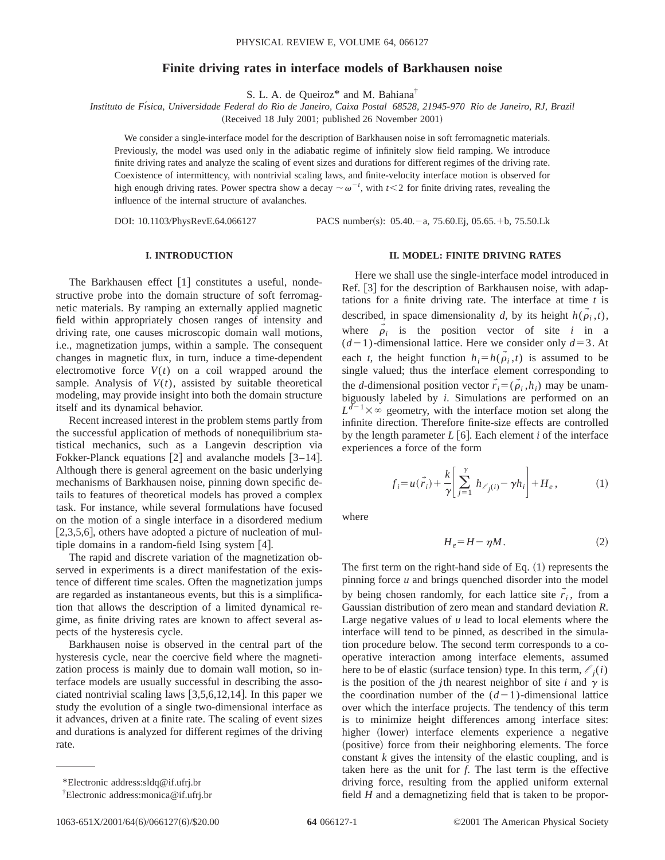# **Finite driving rates in interface models of Barkhausen noise**

S. L. A. de Queiroz<sup>\*</sup> and M. Bahiana<sup>†</sup>

*Instituto de Fı´sica, Universidade Federal do Rio de Janeiro, Caixa Postal 68528, 21945-970 Rio de Janeiro, RJ, Brazil*

(Received 18 July 2001; published 26 November 2001)

We consider a single-interface model for the description of Barkhausen noise in soft ferromagnetic materials. Previously, the model was used only in the adiabatic regime of infinitely slow field ramping. We introduce finite driving rates and analyze the scaling of event sizes and durations for different regimes of the driving rate. Coexistence of intermittency, with nontrivial scaling laws, and finite-velocity interface motion is observed for high enough driving rates. Power spectra show a decay  $\sim \omega^{-t}$ , with  $t < 2$  for finite driving rates, revealing the influence of the internal structure of avalanches.

DOI: 10.1103/PhysRevE.64.066127 PACS number(s): 05.40.-a, 75.60.Ej, 05.65.+b, 75.50.Lk

### **I. INTRODUCTION**

The Barkhausen effect  $[1]$  constitutes a useful, nondestructive probe into the domain structure of soft ferromagnetic materials. By ramping an externally applied magnetic field within appropriately chosen ranges of intensity and driving rate, one causes microscopic domain wall motions, i.e., magnetization jumps, within a sample. The consequent changes in magnetic flux, in turn, induce a time-dependent electromotive force  $V(t)$  on a coil wrapped around the sample. Analysis of  $V(t)$ , assisted by suitable theoretical modeling, may provide insight into both the domain structure itself and its dynamical behavior.

Recent increased interest in the problem stems partly from the successful application of methods of nonequilibrium statistical mechanics, such as a Langevin description via Fokker-Planck equations  $\lceil 2 \rceil$  and avalanche models  $\lceil 3-14 \rceil$ . Although there is general agreement on the basic underlying mechanisms of Barkhausen noise, pinning down specific details to features of theoretical models has proved a complex task. For instance, while several formulations have focused on the motion of a single interface in a disordered medium  $[2,3,5,6]$ , others have adopted a picture of nucleation of multiple domains in a random-field Ising system  $[4]$ .

The rapid and discrete variation of the magnetization observed in experiments is a direct manifestation of the existence of different time scales. Often the magnetization jumps are regarded as instantaneous events, but this is a simplification that allows the description of a limited dynamical regime, as finite driving rates are known to affect several aspects of the hysteresis cycle.

Barkhausen noise is observed in the central part of the hysteresis cycle, near the coercive field where the magnetization process is mainly due to domain wall motion, so interface models are usually successful in describing the associated nontrivial scaling laws  $[3,5,6,12,14]$ . In this paper we study the evolution of a single two-dimensional interface as it advances, driven at a finite rate. The scaling of event sizes and durations is analyzed for different regimes of the driving rate.

## **II. MODEL: FINITE DRIVING RATES**

Here we shall use the single-interface model introduced in Ref. [3] for the description of Barkhausen noise, with adaptations for a finite driving rate. The interface at time *t* is described, in space dimensionality *d*, by its height  $h(\rho_i, t)$ , where  $\vec{\rho}_i$  is the position vector of site *i* in a  $(d-1)$ -dimensional lattice. Here we consider only  $d=3$ . At each *t*, the height function  $h_i = h(\rho_i, t)$  is assumed to be single valued; thus the interface element corresponding to the *d*-dimensional position vector  $\vec{r}_i = (\vec{\rho}_i, h_i)$  may be unambiguously labeled by *i*. Simulations are performed on an  $L^{d-1}\times\infty$  geometry, with the interface motion set along the infinite direction. Therefore finite-size effects are controlled by the length parameter  $L[6]$ . Each element *i* of the interface experiences a force of the form

$$
f_i = u(\vec{r}_i) + \frac{k}{\gamma} \left[ \sum_{j=1}^{\gamma} h_{\ell_j(i)} - \gamma h_i \right] + H_e, \tag{1}
$$

where

$$
H_e = H - \eta M. \tag{2}
$$

The first term on the right-hand side of Eq.  $(1)$  represents the pinning force *u* and brings quenched disorder into the model by being chosen randomly, for each lattice site  $\vec{r}_i$ , from a Gaussian distribution of zero mean and standard deviation *R*. Large negative values of *u* lead to local elements where the interface will tend to be pinned, as described in the simulation procedure below. The second term corresponds to a cooperative interaction among interface elements, assumed here to be of elastic (surface tension) type. In this term,  $l_i(i)$ is the position of the *j*th nearest neighbor of site *i* and  $\gamma$  is the coordination number of the  $(d-1)$ -dimensional lattice over which the interface projects. The tendency of this term is to minimize height differences among interface sites: higher (lower) interface elements experience a negative (positive) force from their neighboring elements. The force constant *k* gives the intensity of the elastic coupling, and is taken here as the unit for *f*. The last term is the effective driving force, resulting from the applied uniform external field *H* and a demagnetizing field that is taken to be propor-

<sup>\*</sup>Electronic address:sldq@if.ufrj.br

<sup>†</sup> Electronic address:monica@if.ufrj.br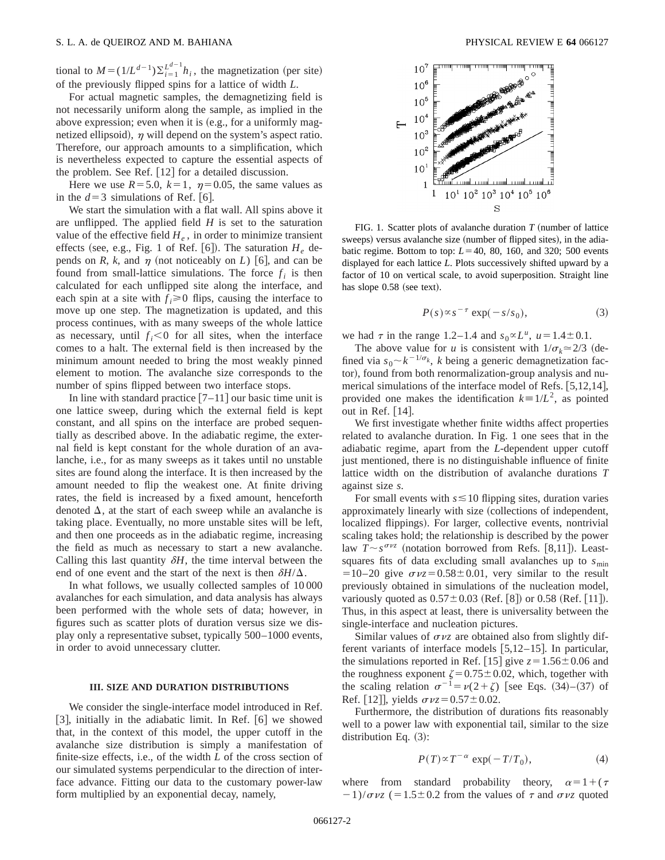tional to  $M = (1/L^{d-1})\sum_{i=1}^{L^{d-1}} h_i$ , the magnetization (per site) of the previously flipped spins for a lattice of width *L*.

For actual magnetic samples, the demagnetizing field is not necessarily uniform along the sample, as implied in the above expression; even when it is  $(e.g., for a uniformly mag$ netized ellipsoid),  $\eta$  will depend on the system's aspect ratio. Therefore, our approach amounts to a simplification, which is nevertheless expected to capture the essential aspects of the problem. See Ref.  $[12]$  for a detailed discussion.

Here we use  $R=5.0$ ,  $k=1$ ,  $\eta=0.05$ , the same values as in the  $d=3$  simulations of Ref. [6].

We start the simulation with a flat wall. All spins above it are unflipped. The applied field *H* is set to the saturation value of the effective field  $H_e$ , in order to minimize transient effects (see, e.g., Fig. 1 of Ref.  $[6]$ ). The saturation  $H_e$  depends on *R*, *k*, and  $\eta$  (not noticeably on *L*) [6], and can be found from small-lattice simulations. The force  $f_i$  is then calculated for each unflipped site along the interface, and each spin at a site with  $f_i \ge 0$  flips, causing the interface to move up one step. The magnetization is updated, and this process continues, with as many sweeps of the whole lattice as necessary, until  $f_i < 0$  for all sites, when the interface comes to a halt. The external field is then increased by the minimum amount needed to bring the most weakly pinned element to motion. The avalanche size corresponds to the number of spins flipped between two interface stops.

In line with standard practice  $[7-11]$  our basic time unit is one lattice sweep, during which the external field is kept constant, and all spins on the interface are probed sequentially as described above. In the adiabatic regime, the external field is kept constant for the whole duration of an avalanche, i.e., for as many sweeps as it takes until no unstable sites are found along the interface. It is then increased by the amount needed to flip the weakest one. At finite driving rates, the field is increased by a fixed amount, henceforth denoted  $\Delta$ , at the start of each sweep while an avalanche is taking place. Eventually, no more unstable sites will be left, and then one proceeds as in the adiabatic regime, increasing the field as much as necessary to start a new avalanche. Calling this last quantity  $\delta H$ , the time interval between the end of one event and the start of the next is then  $\delta H/\Delta$ .

In what follows, we usually collected samples of 10 000 avalanches for each simulation, and data analysis has always been performed with the whole sets of data; however, in figures such as scatter plots of duration versus size we display only a representative subset, typically 500–1000 events, in order to avoid unnecessary clutter.

## **III. SIZE AND DURATION DISTRIBUTIONS**

We consider the single-interface model introduced in Ref.  $[3]$ , initially in the adiabatic limit. In Ref.  $[6]$  we showed that, in the context of this model, the upper cutoff in the avalanche size distribution is simply a manifestation of finite-size effects, i.e., of the width *L* of the cross section of our simulated systems perpendicular to the direction of interface advance. Fitting our data to the customary power-law form multiplied by an exponential decay, namely,



FIG. 1. Scatter plots of avalanche duration  $T$  (number of lattice sweeps) versus avalanche size (number of flipped sites), in the adiabatic regime. Bottom to top:  $L=40$ , 80, 160, and 320; 500 events displayed for each lattice *L*. Plots successively shifted upward by a factor of 10 on vertical scale, to avoid superposition. Straight line has slope 0.58 (see text).

$$
P(s) \propto s^{-\tau} \exp(-s/s_0), \tag{3}
$$

we had  $\tau$  in the range 1.2–1.4 and  $s_0 \propto L^u$ ,  $u = 1.4 \pm 0.1$ .

The above value for *u* is consistent with  $1/\sigma_k \approx 2/3$  (defined via  $s_0 \sim k^{-1/\sigma_k}$ , *k* being a generic demagnetization factor), found from both renormalization-group analysis and numerical simulations of the interface model of Refs.  $[5,12,14]$ , provided one makes the identification  $k=1/L^2$ , as pointed out in Ref.  $[14]$ .

We first investigate whether finite widths affect properties related to avalanche duration. In Fig. 1 one sees that in the adiabatic regime, apart from the *L*-dependent upper cutoff just mentioned, there is no distinguishable influence of finite lattice width on the distribution of avalanche durations *T* against size *s*.

For small events with  $s \le 10$  flipping sites, duration varies approximately linearly with size (collections of independent, localized flippings). For larger, collective events, nontrivial scaling takes hold; the relationship is described by the power law  $T \sim s^{\sigma \nu z}$  (notation borrowed from Refs. [8,11]). Leastsquares fits of data excluding small avalanches up to  $s_{\text{min}}$  $=10-20$  give  $\sigma vz = 0.58 \pm 0.01$ , very similar to the result previously obtained in simulations of the nucleation model, variously quoted as  $0.57 \pm 0.03$  (Ref. [8]) or 0.58 (Ref. [11]). Thus, in this aspect at least, there is universality between the single-interface and nucleation pictures.

Similar values of  $\sigma \nu z$  are obtained also from slightly different variants of interface models  $[5,12-15]$ . In particular, the simulations reported in Ref. [15] give  $z=1.56\pm0.06$  and the roughness exponent  $\zeta=0.75\pm0.02$ , which, together with the scaling relation  $\sigma^{-1} = \nu(2+\zeta)$  [see Eqs. (34)–(37) of Ref. [12], yields  $\sigma vz = 0.57 \pm 0.02$ .

Furthermore, the distribution of durations fits reasonably well to a power law with exponential tail, similar to the size distribution Eq.  $(3)$ :

$$
P(T) \propto T^{-\alpha} \exp(-T/T_0), \tag{4}
$$

where from standard probability theory,  $\alpha=1+(\tau)$  $-1$ )/ $\sigma$ *vz* (=1.5±0.2 from the values of  $\tau$  and  $\sigma$ *vz* quoted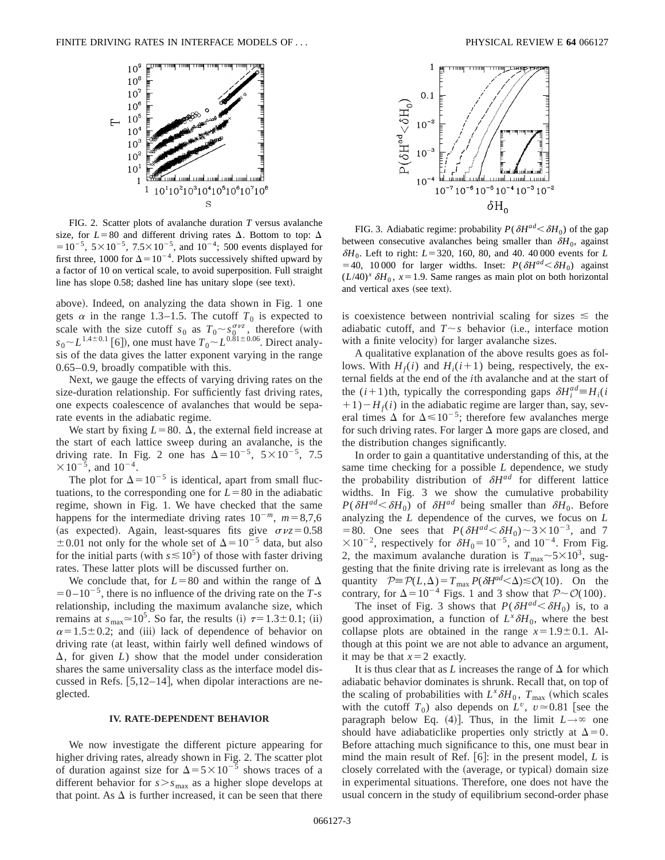

FIG. 2. Scatter plots of avalanche duration *T* versus avalanche size, for  $L=80$  and different driving rates  $\Delta$ . Bottom to top:  $\Delta$  $=$  10<sup>-5</sup>, 5  $\times$  10<sup>-5</sup>, 7.5  $\times$  10<sup>-5</sup>, and 10<sup>-4</sup>; 500 events displayed for first three, 1000 for  $\Delta = 10^{-4}$ . Plots successively shifted upward by a factor of 10 on vertical scale, to avoid superposition. Full straight line has slope  $0.58$ ; dashed line has unitary slope (see text).

above). Indeed, on analyzing the data shown in Fig. 1 one gets  $\alpha$  in the range 1.3–1.5. The cutoff  $T_0$  is expected to scale with the size cutoff  $s_0$  as  $T_0 \sim s_0^{\sigma \nu z}$ , therefore (with  $s_0$ <sup> $\sim$ </sup> $L^{1.4\pm0.1}$  [6]), one must have  $T_0$ <sup> $\sim$ </sup> $L^{0.81\pm0.06}$ . Direct analysis of the data gives the latter exponent varying in the range 0.65–0.9, broadly compatible with this.

Next, we gauge the effects of varying driving rates on the size-duration relationship. For sufficiently fast driving rates, one expects coalescence of avalanches that would be separate events in the adiabatic regime.

We start by fixing  $L=80$ .  $\Delta$ , the external field increase at the start of each lattice sweep during an avalanche, is the driving rate. In Fig. 2 one has  $\Delta=10^{-5}$ ,  $5\times10^{-5}$ , 7.5  $\times 10^{-5}$ , and  $10^{-4}$ .

The plot for  $\Delta = 10^{-5}$  is identical, apart from small fluctuations, to the corresponding one for  $L=80$  in the adiabatic regime, shown in Fig. 1. We have checked that the same happens for the intermediate driving rates  $10^{-m}$ ,  $m=8,7,6$ (as expected). Again, least-squares fits give  $\sigma \nu z = 0.58$  $\pm 0.01$  not only for the whole set of  $\Delta = 10^{-5}$  data, but also for the initial parts (with  $s \le 10^5$ ) of those with faster driving rates. These latter plots will be discussed further on.

We conclude that, for  $L=80$  and within the range of  $\Delta$  $=0-10^{-5}$ , there is no influence of the driving rate on the *T*-*s* relationship, including the maximum avalanche size, which remains at  $s_{\text{max}} \approx 10^5$ . So far, the results (i)  $\tau = 1.3 \pm 0.1$ ; (ii)  $\alpha$ =1.5±0.2; and (iii) lack of dependence of behavior on driving rate (at least, within fairly well defined windows of  $\Delta$ , for given *L*) show that the model under consideration shares the same universality class as the interface model discussed in Refs.  $[5,12-14]$ , when dipolar interactions are neglected.

#### **IV. RATE-DEPENDENT BEHAVIOR**

We now investigate the different picture appearing for higher driving rates, already shown in Fig. 2. The scatter plot of duration against size for  $\Delta = 5 \times 10^{-5}$  shows traces of a different behavior for  $s > s_{\text{max}}$  as a higher slope develops at that point. As  $\Delta$  is further increased, it can be seen that there





FIG. 3. Adiabatic regime: probability  $P(\delta H^{ad} < \delta H_0)$  of the gap between consecutive avalanches being smaller than  $\delta H_0$ , against  $\delta H_0$ . Left to right:  $L = 320$ , 160, 80, and 40. 40 000 events for *L* =40, 10 000 for larger widths. Inset:  $P(\delta H^{ad} < \delta H_0)$  against  $(L/40)^{x}$   $\delta H_0$ ,  $x=1.9$ . Same ranges as main plot on both horizontal and vertical axes (see text).

is coexistence between nontrivial scaling for sizes  $\leq$  the adiabatic cutoff, and  $T \sim s$  behavior (i.e., interface motion with a finite velocity) for larger avalanche sizes.

A qualitative explanation of the above results goes as follows. With  $H_f(i)$  and  $H_i(i+1)$  being, respectively, the external fields at the end of the *i*th avalanche and at the start of the  $(i+1)$ th, typically the corresponding gaps  $\delta H_i^{ad} = H_i(i)$  $+1$ ) $-H<sub>f</sub>(i)$  in the adiabatic regime are larger than, say, several times  $\Delta$  for  $\Delta \leq 10^{-5}$ ; therefore few avalanches merge for such driving rates. For larger  $\Delta$  more gaps are closed, and the distribution changes significantly.

In order to gain a quantitative understanding of this, at the same time checking for a possible *L* dependence, we study the probability distribution of  $\delta H^{ad}$  for different lattice widths. In Fig. 3 we show the cumulative probability  $P(\delta H^{ad} < \delta H_0)$  of  $\delta H^{ad}$  being smaller than  $\delta H_0$ . Before analyzing the *L* dependence of the curves, we focus on *L* =80. One sees that  $P(\delta H^{ad} < \delta H_0) \sim 3 \times 10^{-3}$ , and 7  $\times 10^{-2}$ , respectively for  $\delta H_0 = 10^{-5}$ , and  $10^{-4}$ . From Fig. 2, the maximum avalanche duration is  $T_{\text{max}}$  
ightarrow 5 \times 10<sup>3</sup>, suggesting that the finite driving rate is irrelevant as long as the quantity  $P = \mathcal{P}(L,\Delta) = T_{\text{max}} P(\delta H^{ad} < \Delta) \leq \mathcal{O}(10)$ . On the contrary, for  $\Delta = 10^{-4}$  Figs. 1 and 3 show that  $P \sim \mathcal{O}(100)$ .

The inset of Fig. 3 shows that  $P(\delta H^{ad} < \delta H_0)$  is, to a good approximation, a function of  $L^x \delta H_0$ , where the best collapse plots are obtained in the range  $x=1.9\pm0.1$ . Although at this point we are not able to advance an argument, it may be that  $x=2$  exactly.

It is thus clear that as *L* increases the range of  $\Delta$  for which adiabatic behavior dominates is shrunk. Recall that, on top of the scaling of probabilities with  $L^x \delta H_0$ ,  $T_{\text{max}}$  (which scales with the cutoff  $T_0$ ) also depends on  $L^v$ ,  $v \approx 0.81$  [see the paragraph below Eq. (4)]. Thus, in the limit  $L \rightarrow \infty$  one should have adiabaticlike properties only strictly at  $\Delta=0$ . Before attaching much significance to this, one must bear in mind the main result of Ref.  $[6]$ : in the present model, *L* is closely correlated with the (average, or typical) domain size in experimental situations. Therefore, one does not have the usual concern in the study of equilibrium second-order phase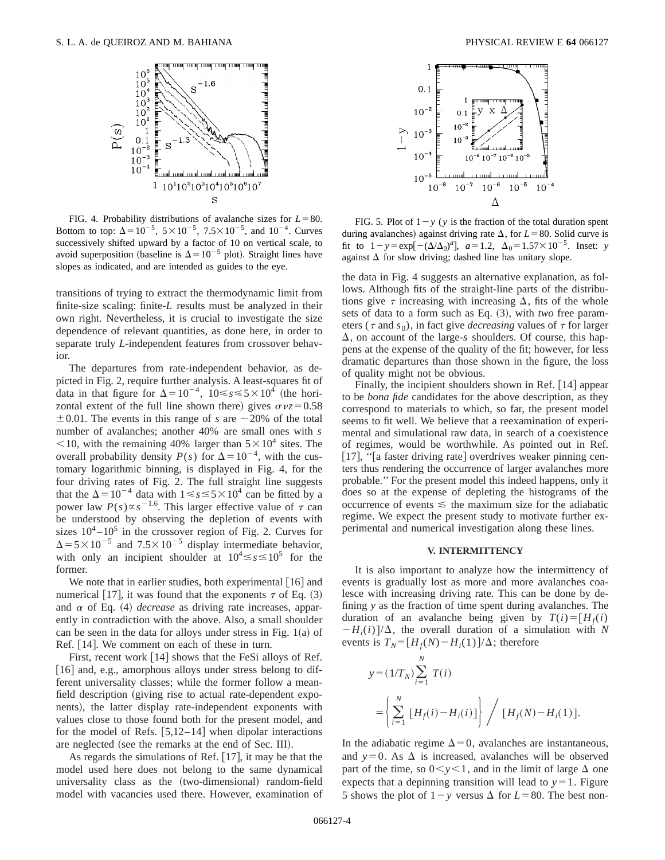

FIG. 4. Probability distributions of avalanche sizes for  $L=80$ . Bottom to top:  $\Delta = 10^{-5}$ ,  $5 \times 10^{-5}$ ,  $7.5 \times 10^{-5}$ , and  $10^{-4}$ . Curves successively shifted upward by a factor of 10 on vertical scale, to avoid superposition (baseline is  $\Delta$ =10<sup>-5</sup> plot). Straight lines have slopes as indicated, and are intended as guides to the eye.

transitions of trying to extract the thermodynamic limit from finite-size scaling: finite-*L* results must be analyzed in their own right. Nevertheless, it is crucial to investigate the size dependence of relevant quantities, as done here, in order to separate truly *L*-independent features from crossover behavior.

The departures from rate-independent behavior, as depicted in Fig. 2, require further analysis. A least-squares fit of data in that figure for  $\Delta = 10^{-4}$ ,  $10 \le s \le 5 \times 10^{4}$  (the horizontal extent of the full line shown there) gives  $\sigma vz = 0.58$  $\pm 0.01$ . The events in this range of *s* are  $\sim 20\%$  of the total number of avalanches; another 40% are small ones with *s*  $\leq$ 10, with the remaining 40% larger than  $5\times10^4$  sites. The overall probability density  $P(s)$  for  $\Delta = 10^{-4}$ , with the customary logarithmic binning, is displayed in Fig. 4, for the four driving rates of Fig. 2. The full straight line suggests that the  $\Delta$ =10<sup>-4</sup> data with 1 ≤ *s* ≤ 5 × 10<sup>4</sup> can be fitted by a power law  $P(s) \propto s^{-1.6}$ . This larger effective value of  $\tau$  can be understood by observing the depletion of events with sizes  $10^4 - 10^5$  in the crossover region of Fig. 2. Curves for  $\Delta$ =5×10<sup>-5</sup> and 7.5×10<sup>-5</sup> display intermediate behavior, with only an incipient shoulder at  $10^4 \le s \le 10^5$  for the former.

We note that in earlier studies, both experimental  $[16]$  and numerical 17, it was found that the exponents  $\tau$  of Eq. (3) and  $\alpha$  of Eq. (4) *decrease* as driving rate increases, apparently in contradiction with the above. Also, a small shoulder can be seen in the data for alloys under stress in Fig.  $1(a)$  of Ref. [14]. We comment on each of these in turn.

First, recent work  $[14]$  shows that the FeSi alloys of Ref. [16] and, e.g., amorphous alloys under stress belong to different universality classes; while the former follow a meanfield description (giving rise to actual rate-dependent exponents), the latter display rate-independent exponents with values close to those found both for the present model, and for the model of Refs.  $[5,12-14]$  when dipolar interactions are neglected (see the remarks at the end of Sec. III).

As regards the simulations of Ref.  $[17]$ , it may be that the model used here does not belong to the same dynamical universality class as the (two-dimensional) random-field model with vacancies used there. However, examination of



FIG. 5. Plot of  $1-y$  (*y* is the fraction of the total duration spent during avalanches) against driving rate  $\Delta$ , for  $L=80$ . Solid curve is fit to  $1-y = \exp[-(\Delta/\Delta_0)^a]$ ,  $a = 1.2$ ,  $\Delta_0 = 1.57 \times 10^{-5}$ . Inset: *y* against  $\Delta$  for slow driving; dashed line has unitary slope.

the data in Fig. 4 suggests an alternative explanation, as follows. Although fits of the straight-line parts of the distributions give  $\tau$  increasing with increasing  $\Delta$ , fits of the whole sets of data to a form such as Eq.  $(3)$ , with *two* free parameters ( $\tau$  and  $s_0$ ), in fact give *decreasing* values of  $\tau$  for larger  $\Delta$ , on account of the large-*s* shoulders. Of course, this happens at the expense of the quality of the fit; however, for less dramatic departures than those shown in the figure, the loss of quality might not be obvious.

Finally, the incipient shoulders shown in Ref. [14] appear to be *bona fide* candidates for the above description, as they correspond to materials to which, so far, the present model seems to fit well. We believe that a reexamination of experimental and simulational raw data, in search of a coexistence of regimes, would be worthwhile. As pointed out in Ref. [17], "[a faster driving rate] overdrives weaker pinning centers thus rendering the occurrence of larger avalanches more probable.'' For the present model this indeed happens, only it does so at the expense of depleting the histograms of the occurrence of events  $\leq$  the maximum size for the adiabatic regime. We expect the present study to motivate further experimental and numerical investigation along these lines.

### **V. INTERMITTENCY**

It is also important to analyze how the intermittency of events is gradually lost as more and more avalanches coalesce with increasing driving rate. This can be done by defining *y* as the fraction of time spent during avalanches. The duration of an avalanche being given by  $T(i) = [H_f(i)]$  $-H_i(i)/\Delta$ , the overall duration of a simulation with N events is  $T_N = [H_f(N) - H_i(1)]/\Delta$ ; therefore

$$
y = (1/T_N) \sum_{i=1}^{N} T(i)
$$
  
=  $\left\{ \sum_{i=1}^{N} [H_f(i) - H_i(i)] \right\} / [H_f(N) - H_i(1)].$ 

In the adiabatic regime  $\Delta=0$ , avalanches are instantaneous, and  $y=0$ . As  $\Delta$  is increased, avalanches will be observed part of the time, so  $0 < y < 1$ , and in the limit of large  $\Delta$  one expects that a depinning transition will lead to  $y=1$ . Figure 5 shows the plot of  $1-\gamma$  versus  $\Delta$  for  $L=80$ . The best non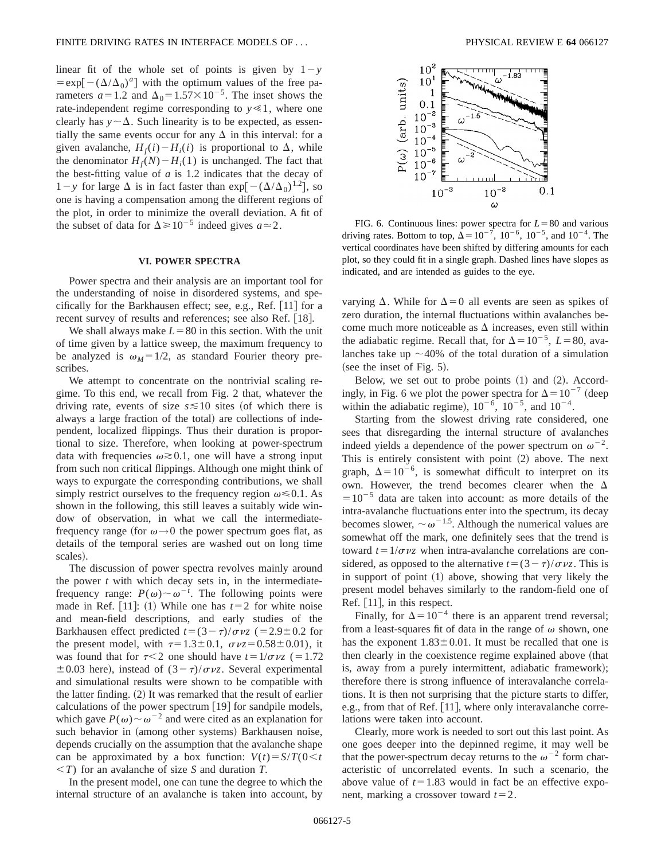linear fit of the whole set of points is given by  $1-y$  $=\exp[-(\Delta/\Delta_0)^a]$  with the optimum values of the free parameters  $a=1.2$  and  $\Delta_0=1.57\times10^{-5}$ . The inset shows the rate-independent regime corresponding to  $y \ll 1$ , where one clearly has  $y \sim \Delta$ . Such linearity is to be expected, as essentially the same events occur for any  $\Delta$  in this interval: for a given avalanche,  $H_f(i) - H_i(i)$  is proportional to  $\Delta$ , while the denominator  $H_f(N) - H_i(1)$  is unchanged. The fact that the best-fitting value of *a* is 1.2 indicates that the decay of  $1-y$  for large  $\Delta$  is in fact faster than exp $[-(\Delta/\Delta_0)^{1.2}]$ , so one is having a compensation among the different regions of the plot, in order to minimize the overall deviation. A fit of the subset of data for  $\Delta \ge 10^{-5}$  indeed gives  $a \approx 2$ .

### **VI. POWER SPECTRA**

Power spectra and their analysis are an important tool for the understanding of noise in disordered systems, and specifically for the Barkhausen effect; see, e.g., Ref.  $[11]$  for a recent survey of results and references; see also Ref. [18].

We shall always make  $L=80$  in this section. With the unit of time given by a lattice sweep, the maximum frequency to be analyzed is  $\omega_M = 1/2$ , as standard Fourier theory prescribes.

We attempt to concentrate on the nontrivial scaling regime. To this end, we recall from Fig. 2 that, whatever the driving rate, events of size  $s \le 10$  sites (of which there is always a large fraction of the total) are collections of independent, localized flippings. Thus their duration is proportional to size. Therefore, when looking at power-spectrum data with frequencies  $\omega \geq 0.1$ , one will have a strong input from such non critical flippings. Although one might think of ways to expurgate the corresponding contributions, we shall simply restrict ourselves to the frequency region  $\omega \le 0.1$ . As shown in the following, this still leaves a suitably wide window of observation, in what we call the intermediatefrequency range (for  $\omega \rightarrow 0$  the power spectrum goes flat, as details of the temporal series are washed out on long time scales).

The discussion of power spectra revolves mainly around the power *t* with which decay sets in, in the intermediatefrequency range:  $P(\omega) \sim \omega^{-t}$ . The following points were made in Ref.  $[11]$ :  $(1)$  While one has  $t=2$  for white noise and mean-field descriptions, and early studies of the Barkhausen effect predicted  $t=(3-\tau)/\sigma \nu z$  (=2.9±0.2 for the present model, with  $\tau=1.3\pm0.1$ ,  $\sigma \nu z=0.58\pm0.01$ ), it was found that for  $\tau$ <2 one should have  $t=1/\sigma \nu z$  (=1.72)  $\pm 0.03$  here), instead of  $(3 - \tau)/\sigma \nu z$ . Several experimental and simulational results were shown to be compatible with the latter finding.  $(2)$  It was remarked that the result of earlier calculations of the power spectrum  $[19]$  for sandpile models, which gave  $P(\omega) \sim \omega^{-2}$  and were cited as an explanation for such behavior in (among other systems) Barkhausen noise, depends crucially on the assumption that the avalanche shape can be approximated by a box function:  $V(t) = S/T(0 < t$  $(T)$  for an avalanche of size *S* and duration *T*.

In the present model, one can tune the degree to which the internal structure of an avalanche is taken into account, by



FIG. 6. Continuous lines: power spectra for  $L=80$  and various driving rates. Bottom to top,  $\Delta = 10^{-7}$ ,  $10^{-6}$ ,  $10^{-5}$ , and  $10^{-4}$ . The vertical coordinates have been shifted by differing amounts for each plot, so they could fit in a single graph. Dashed lines have slopes as indicated, and are intended as guides to the eye.

varying  $\Delta$ . While for  $\Delta=0$  all events are seen as spikes of zero duration, the internal fluctuations within avalanches become much more noticeable as  $\Delta$  increases, even still within the adiabatic regime. Recall that, for  $\Delta = 10^{-5}$ , *L* = 80, avalanches take up  $\sim$  40% of the total duration of a simulation (see the inset of Fig.  $5$ ).

Below, we set out to probe points  $(1)$  and  $(2)$ . Accordingly, in Fig. 6 we plot the power spectra for  $\Delta=10^{-7}$  (deep within the adiabatic regime),  $10^{-6}$ ,  $10^{-5}$ , and  $10^{-4}$ .

Starting from the slowest driving rate considered, one sees that disregarding the internal structure of avalanches indeed yields a dependence of the power spectrum on  $\omega^{-2}$ . This is entirely consistent with point  $(2)$  above. The next graph,  $\Delta = 10^{-6}$ , is somewhat difficult to interpret on its own. However, the trend becomes clearer when the  $\Delta$  $=10^{-5}$  data are taken into account: as more details of the intra-avalanche fluctuations enter into the spectrum, its decay becomes slower,  $\sim \omega^{-1.5}$ . Although the numerical values are somewhat off the mark, one definitely sees that the trend is toward  $t=1/\sigma \nu z$  when intra-avalanche correlations are considered, as opposed to the alternative  $t=(3-\tau)/\sigma \nu z$ . This is in support of point  $(1)$  above, showing that very likely the present model behaves similarly to the random-field one of Ref. [11], in this respect.

Finally, for  $\Delta = 10^{-4}$  there is an apparent trend reversal; from a least-squares fit of data in the range of  $\omega$  shown, one has the exponent  $1.83 \pm 0.01$ . It must be recalled that one is then clearly in the coexistence regime explained above (that is, away from a purely intermittent, adiabatic framework); therefore there is strong influence of interavalanche correlations. It is then not surprising that the picture starts to differ, e.g., from that of Ref.  $[11]$ , where only interavalanche correlations were taken into account.

Clearly, more work is needed to sort out this last point. As one goes deeper into the depinned regime, it may well be that the power-spectrum decay returns to the  $\omega^{-2}$  form characteristic of uncorrelated events. In such a scenario, the above value of  $t=1.83$  would in fact be an effective exponent, marking a crossover toward  $t=2$ .